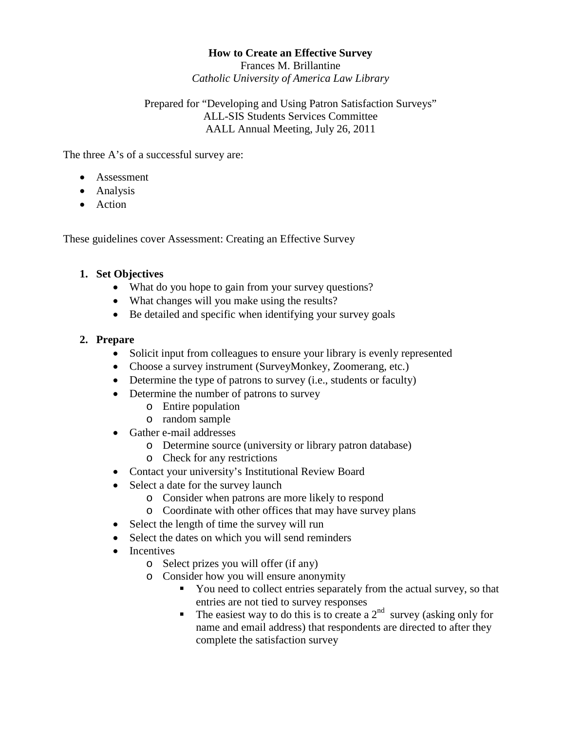### **How to Create an Effective Survey**

Frances M. Brillantine *Catholic University of America Law Library*

## Prepared for "Developing and Using Patron Satisfaction Surveys" ALL-SIS Students Services Committee AALL Annual Meeting, July 26, 2011

The three A's of a successful survey are:

- Assessment
- Analysis
- Action

These guidelines cover Assessment: Creating an Effective Survey

## **1. Set Objectives**

- What do you hope to gain from your survey questions?
- What changes will you make using the results?
- Be detailed and specific when identifying your survey goals

# **2. Prepare**

- Solicit input from colleagues to ensure your library is evenly represented
- Choose a survey instrument (SurveyMonkey, Zoomerang, etc.)
- Determine the type of patrons to survey (i.e., students or faculty)
- Determine the number of patrons to survey
	- o Entire population
	- o random sample
- Gather e-mail addresses
	- o Determine source (university or library patron database)
	- o Check for any restrictions
- Contact your university's Institutional Review Board
- Select a date for the survey launch
	- o Consider when patrons are more likely to respond
	- o Coordinate with other offices that may have survey plans
- Select the length of time the survey will run
- Select the dates on which you will send reminders
- Incentives
	- o Select prizes you will offer (if any)
	- o Consider how you will ensure anonymity
		- You need to collect entries separately from the actual survey, so that entries are not tied to survey responses
		- The easiest way to do this is to create a  $2<sup>nd</sup>$  survey (asking only for name and email address) that respondents are directed to after they complete the satisfaction survey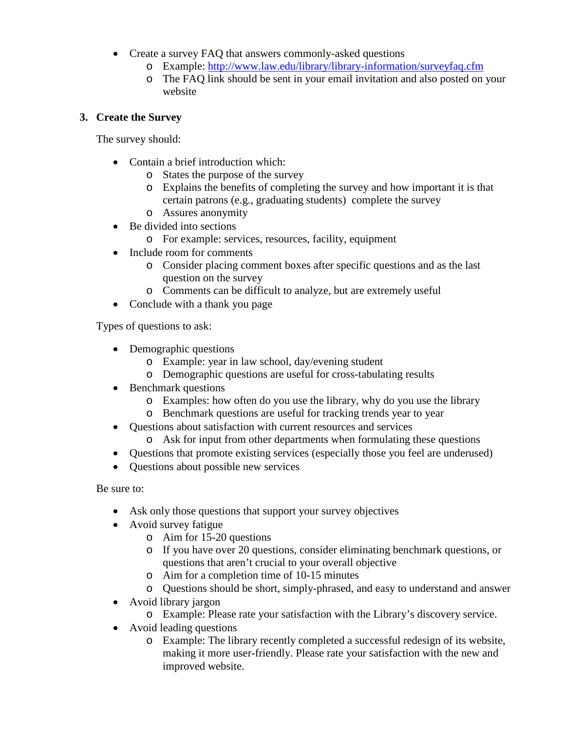- Create a survey FAQ that answers commonly-asked questions
	- o Example:<http://www.law.edu/library/library-information/surveyfaq.cfm>
	- o The FAQ link should be sent in your email invitation and also posted on your website

# **3. Create the Survey**

The survey should:

- Contain a brief introduction which:
	- o States the purpose of the survey
	- o Explains the benefits of completing the survey and how important it is that certain patrons (e.g., graduating students) complete the survey
	- o Assures anonymity
- Be divided into sections
	- o For example: services, resources, facility, equipment
- Include room for comments
	- o Consider placing comment boxes after specific questions and as the last question on the survey
	- o Comments can be difficult to analyze, but are extremely useful
- Conclude with a thank you page

Types of questions to ask:

- Demographic questions
	- o Example: year in law school, day/evening student
	- o Demographic questions are useful for cross-tabulating results
- Benchmark questions
	- o Examples: how often do you use the library, why do you use the library
	- o Benchmark questions are useful for tracking trends year to year
- Questions about satisfaction with current resources and services
	- o Ask for input from other departments when formulating these questions
- Questions that promote existing services (especially those you feel are underused)
- Questions about possible new services

Be sure to:

- Ask only those questions that support your survey objectives
- Avoid survey fatigue
	- o Aim for 15-20 questions
	- o If you have over 20 questions, consider eliminating benchmark questions, or questions that aren't crucial to your overall objective
	- o Aim for a completion time of 10-15 minutes
	- o Questions should be short, simply-phrased, and easy to understand and answer
- Avoid library jargon
	- o Example: Please rate your satisfaction with the Library's discovery service.
- Avoid leading questions
	- o Example: The library recently completed a successful redesign of its website, making it more user-friendly. Please rate your satisfaction with the new and improved website.